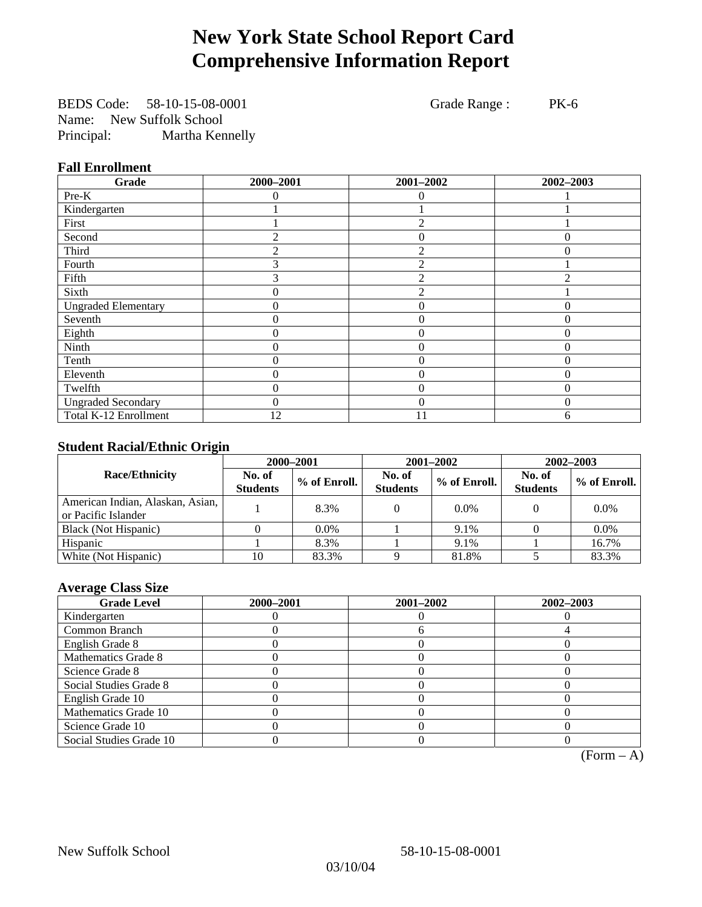# **New York State School Report Card Comprehensive Information Report**

BEDS Code: 58-10-15-08-0001 Grade Range : PK-6 Name: New Suffolk School Principal: Martha Kennelly

### **Fall Enrollment**

| Grade                      | 2000-2001 | 2001-2002      | 2002-2003 |
|----------------------------|-----------|----------------|-----------|
| Pre-K                      | 0         | $\left($       |           |
| Kindergarten               |           |                |           |
| First                      |           | $\mathfrak{D}$ |           |
| Second                     |           | $\Omega$       | $\Omega$  |
| Third                      |           | $\mathfrak{D}$ | $\Omega$  |
| Fourth                     | 3         | $\overline{c}$ |           |
| Fifth                      | 3         | $\mathfrak{D}$ | ◠         |
| Sixth                      | 0         | $\mathfrak{D}$ |           |
| <b>Ungraded Elementary</b> | 0         | $\Omega$       |           |
| Seventh                    | 0         | $\theta$       | 0         |
| Eighth                     | 0         | $\theta$       | $\Omega$  |
| Ninth                      | 0         | $\Omega$       | 0         |
| Tenth                      | 0         | $\theta$       | 0         |
| Eleventh                   | 0         | $\overline{0}$ | 0         |
| Twelfth                    | 0         | $\overline{0}$ | $\Omega$  |
| <b>Ungraded Secondary</b>  | $\theta$  | $\theta$       | $\Omega$  |
| Total K-12 Enrollment      | 12        | 11             | 6         |

### **Student Racial/Ethnic Origin**

|                                                         | 2000-2001                 |              |                           | $2001 - 2002$ | $2002 - 2003$             |                |
|---------------------------------------------------------|---------------------------|--------------|---------------------------|---------------|---------------------------|----------------|
| <b>Race/Ethnicity</b>                                   | No. of<br><b>Students</b> | % of Enroll. | No. of<br><b>Students</b> | % of Enroll.  | No. of<br><b>Students</b> | $%$ of Enroll. |
| American Indian, Alaskan, Asian,<br>or Pacific Islander |                           | 8.3%         |                           | $0.0\%$       |                           | $0.0\%$        |
| Black (Not Hispanic)                                    |                           | $0.0\%$      |                           | 9.1%          |                           | $0.0\%$        |
| Hispanic                                                |                           | 8.3%         |                           | 9.1%          |                           | 16.7%          |
| White (Not Hispanic)                                    | 10                        | 83.3%        |                           | 81.8%         |                           | 83.3%          |

### **Average Class Size**

| <b>Grade Level</b>      | 2000-2001 | 2001-2002 | 2002-2003 |
|-------------------------|-----------|-----------|-----------|
| Kindergarten            |           |           |           |
| Common Branch           |           |           |           |
| English Grade 8         |           |           |           |
| Mathematics Grade 8     |           |           |           |
| Science Grade 8         |           |           |           |
| Social Studies Grade 8  |           |           |           |
| English Grade 10        |           |           |           |
| Mathematics Grade 10    |           |           |           |
| Science Grade 10        |           |           |           |
| Social Studies Grade 10 |           |           |           |

 $(Form - A)$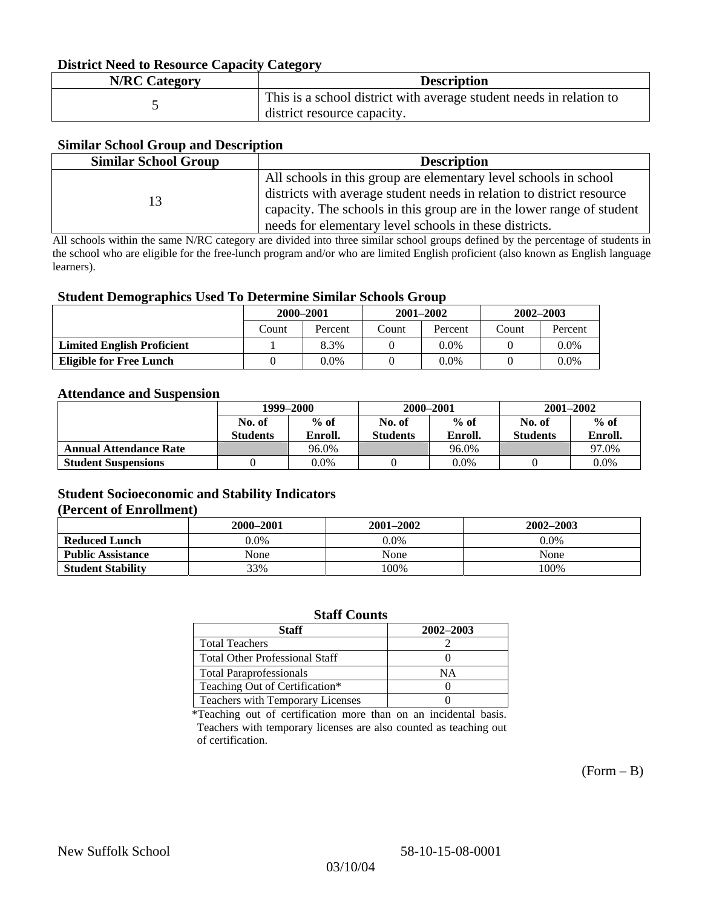### **District Need to Resource Capacity Category**

| <b>N/RC Category</b> | <b>Description</b>                                                                                 |
|----------------------|----------------------------------------------------------------------------------------------------|
|                      | This is a school district with average student needs in relation to<br>district resource capacity. |

### **Similar School Group and Description**

| <b>Similar School Group</b> | <b>Description</b>                                                    |
|-----------------------------|-----------------------------------------------------------------------|
|                             | All schools in this group are elementary level schools in school      |
| 13                          | districts with average student needs in relation to district resource |
|                             | capacity. The schools in this group are in the lower range of student |
|                             | needs for elementary level schools in these districts.                |

All schools within the same N/RC category are divided into three similar school groups defined by the percentage of students in the school who are eligible for the free-lunch program and/or who are limited English proficient (also known as English language learners).

#### **Student Demographics Used To Determine Similar Schools Group**

|                                   | 2000-2001 |         | $2001 - 2002$ |         | $2002 - 2003$ |         |
|-----------------------------------|-----------|---------|---------------|---------|---------------|---------|
|                                   | Count     | Percent | Count         | Percent | Count         | Percent |
| <b>Limited English Proficient</b> |           | 8.3%    |               | 0.0%    |               | $0.0\%$ |
| Eligible for Free Lunch           |           | 0.0%    |               | $0.0\%$ |               | $0.0\%$ |

#### **Attendance and Suspension**

|                               | 1999–2000<br>$%$ of<br>No. of |         | 2000-2001       |         | $2001 - 2002$   |         |
|-------------------------------|-------------------------------|---------|-----------------|---------|-----------------|---------|
|                               |                               |         | No. of          | $%$ of  | No. of          | $%$ of  |
|                               | <b>Students</b>               | Enroll. | <b>Students</b> | Enroll. | <b>Students</b> | Enroll. |
| <b>Annual Attendance Rate</b> |                               | 96.0%   |                 | 96.0%   |                 | 97.0%   |
| <b>Student Suspensions</b>    |                               | 0.0%    |                 | $0.0\%$ |                 | 0.0%    |

### **Student Socioeconomic and Stability Indicators (Percent of Enrollment)**

|                          | $2001 - 2002$<br>2000–2001 |         | $2002 - 2003$ |
|--------------------------|----------------------------|---------|---------------|
| <b>Reduced Lunch</b>     | $0.0\%$                    | $0.0\%$ | 0.0%          |
| <b>Public Assistance</b> | None                       | None    | None          |
| <b>Student Stability</b> | 33%                        | 100%    | 100%          |

#### **Staff Counts**

| Staff                                   | 2002-2003 |
|-----------------------------------------|-----------|
| <b>Total Teachers</b>                   |           |
| <b>Total Other Professional Staff</b>   |           |
| <b>Total Paraprofessionals</b>          | NΑ        |
| Teaching Out of Certification*          |           |
| <b>Teachers with Temporary Licenses</b> |           |

\*Teaching out of certification more than on an incidental basis. Teachers with temporary licenses are also counted as teaching out of certification.

 $(Form - B)$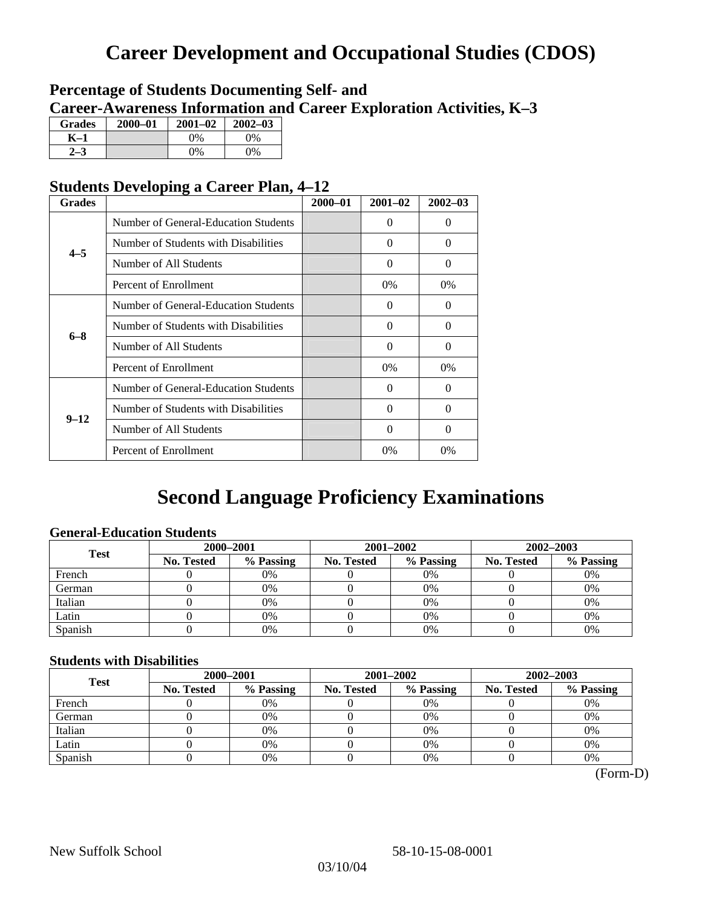# **Career Development and Occupational Studies (CDOS)**

### **Percentage of Students Documenting Self- and Career-Awareness Information and Career Exploration Activities, K–3**

| <b>Grades</b> | $2000 - 01$ | $2001 - 02$ | $2002 - 03$ |
|---------------|-------------|-------------|-------------|
| K-1           |             | 0%          | $0\%$       |
| 72            |             | $0\%$       | $0\%$       |

### **Students Developing a Career Plan, 4–12**

| <b>Grades</b> |                                      | $2000 - 01$ | $2001 - 02$ | $2002 - 03$ |
|---------------|--------------------------------------|-------------|-------------|-------------|
|               | Number of General-Education Students |             | $\Omega$    | 0           |
| $4 - 5$       | Number of Students with Disabilities |             | $\Omega$    | $\Omega$    |
|               | Number of All Students               |             | $\Omega$    | 0           |
|               | Percent of Enrollment                |             | $0\%$       | $0\%$       |
|               | Number of General-Education Students |             | $\Omega$    | 0           |
| $6 - 8$       | Number of Students with Disabilities |             | $\Omega$    | $\Omega$    |
|               | Number of All Students               |             | $\Omega$    | $\Omega$    |
|               | Percent of Enrollment                |             | $0\%$       | $0\%$       |
|               | Number of General-Education Students |             | $\Omega$    | 0           |
| $9 - 12$      | Number of Students with Disabilities |             | $\Omega$    | 0           |
|               | Number of All Students               |             | 0           | 0           |
|               | Percent of Enrollment                |             | 0%          | 0%          |

# **Second Language Proficiency Examinations**

### **General-Education Students**

| <b>Test</b> | 2000-2001         |           |            | 2001-2002 | $2002 - 2003$ |           |
|-------------|-------------------|-----------|------------|-----------|---------------|-----------|
|             | <b>No. Tested</b> | % Passing | No. Tested | % Passing | No. Tested    | % Passing |
| French      |                   | 0%        |            | 0%        |               | 0%        |
| German      |                   | 0%        |            | $0\%$     |               | 0%        |
| Italian     |                   | 0%        |            | 0%        |               | 0%        |
| Latin       |                   | 0%        |            | 0%        |               | 0%        |
| Spanish     |                   | 0%        |            | 0%        |               | 0%        |

### **Students with Disabilities**

| <b>Test</b> | 2000-2001  |           |            | 2001-2002 | 2002-2003  |           |  |
|-------------|------------|-----------|------------|-----------|------------|-----------|--|
|             | No. Tested | % Passing | No. Tested | % Passing | No. Tested | % Passing |  |
| French      |            | 0%        |            | 0%        |            | 0%        |  |
| German      |            | 0%        |            | $0\%$     |            | 0%        |  |
| Italian     |            | 0%        |            | 0%        |            | 0%        |  |
| Latin       |            | 0%        |            | 0%        |            | 0%        |  |
| Spanish     |            | 0%        |            | 0%        |            | 0%        |  |

 <sup>(</sup>Form-D)